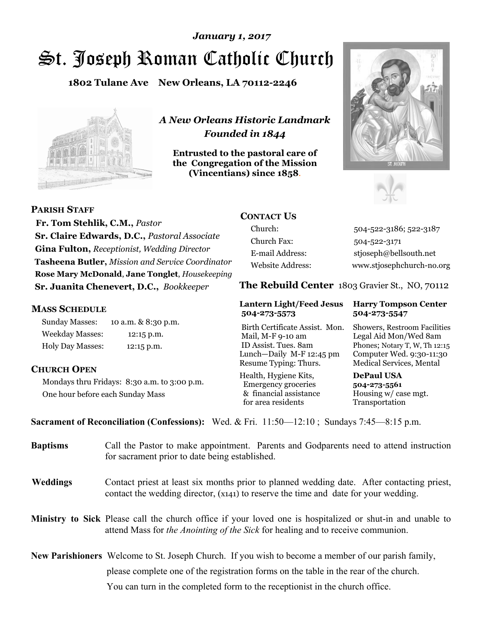# St. Joseph Roman Catholic Church *January 1, 2017*

**1802 Tulane Ave New Orleans, LA 70112-2246**



*A New Orleans Historic Landmark Founded in 1844* 

**Entrusted to the pastoral care of the Congregation of the Mission (Vincentians) since 1858**.





**PARISH STAFF**

 **Fr. Tom Stehlik, C.M.,** *Pastor* **Sr. Claire Edwards, D.C.,** *Pastoral Associate* **Gina Fulton,** *Receptionist, Wedding Director* **Tasheena Butler,** *Mission and Service Coordinator* **Rose Mary McDonald**, **Jane Tonglet**, *Housekeeping* **Sr. Juanita Chenevert, D.C.,** *Bookkeeper* 

#### **MASS SCHEDULE**

Sunday Masses: 10 a.m. & 8:30 p.m. Weekday Masses: 12:15 p.m. Holy Day Masses: 12:15 p.m.

### **CHURCH OPEN**

Mondays thru Fridays: 8:30 a.m. to 3:00 p.m. One hour before each Sunday Mass

## **CONTACT US**

Church: 504-522-3186; 522-3187 Church Fax: 504-522-3171 E-mail Address: stjoseph@bellsouth.net Website Address: www.stjosephchurch-no.org

**The Rebuild Center** 1803 Gravier St., NO, 70112

#### **Lantern Light/Feed Jesus Harry Tompson Center 504-273-5573 504-273-5547**

Birth Certificate Assist. Mon. Showers, Restroom Facilities Mail, M-F 9-10 am Legal Aid Mon/Wed 8am ID Assist. Tues. 8am Phones; Notary T, W, Th 12:15 Lunch—Daily M-F 12:45 pm Computer Wed. 9:30-11:30 Resume Typing: Thurs. Medical Services, Mental

Health, Hygiene Kits, **DePaul USA**  Emergency groceries **504-273-5561** & financial assistance Housing w/ case mgt. for area residents Transportation

**Sacrament of Reconciliation (Confessions):** Wed. & Fri. 11:50—12:10 ; Sundays 7:45—8:15 p.m.

| <b>Baptisms</b> | Call the Pastor to make appointment. Parents and Godparents need to attend instruction<br>for sacrament prior to date being established.                                                            |  |
|-----------------|-----------------------------------------------------------------------------------------------------------------------------------------------------------------------------------------------------|--|
| <b>Weddings</b> | Contact priest at least six months prior to planned wedding date. After contacting priest,<br>contact the wedding director, (x141) to reserve the time and date for your wedding.                   |  |
|                 | <b>Ministry to Sick</b> Please call the church office if your loved one is hospitalized or shut-in and unable to<br>attend Mass for the Anointing of the Sick for healing and to receive communion. |  |
|                 | <b>New Parishioners</b> Welcome to St. Joseph Church. If you wish to become a member of our parish family,                                                                                          |  |
|                 | please complete one of the registration forms on the table in the rear of the church.                                                                                                               |  |
|                 | You can turn in the completed form to the receptionist in the church office.                                                                                                                        |  |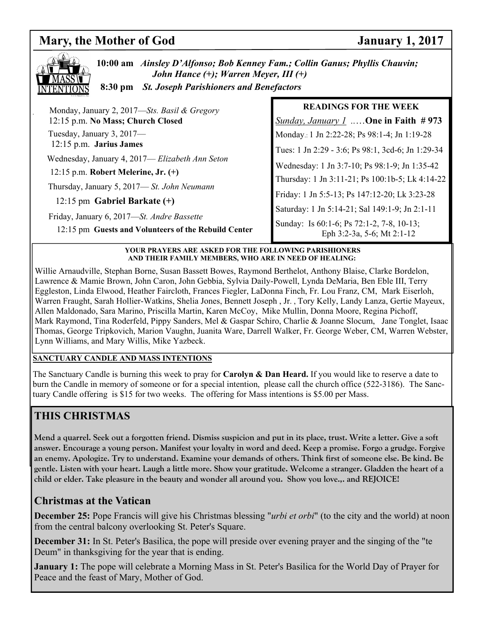# **Mary, the Mother of God January 1, 2017**



**10:00 am** *Ainsley D'Alfonso; Bob Kenney Fam.; Collin Ganus; Phyllis Chauvin; John Hance (+); Warren Meyer, III (+)* **8:30 pm** *St. Joseph Parishioners and Benefactors*

| Monday, January 2, 2017—Sts. Basil & Gregory                                                       | <b>READINGS FOR THE WEEK</b>                                            |
|----------------------------------------------------------------------------------------------------|-------------------------------------------------------------------------|
| 12:15 p.m. No Mass; Church Closed                                                                  | <i><u>Sunday, January 1</u></i> One in Faith #973                       |
| Tuesday, January 3, 2017—                                                                          | Monday.: 1 Jn 2:22-28; Ps 98:1-4; Jn 1:19-28                            |
| 12:15 p.m. Jarius James                                                                            | Tues: 1 Jn 2:29 - 3:6; Ps 98:1, 3cd-6; Jn 1:29-34                       |
| Wednesday, January 4, 2017-Elizabeth Ann Seton                                                     | Wednesday: 1 Jn 3:7-10; Ps 98:1-9; Jn 1:35-42                           |
| 12:15 p.m. Robert Melerine, Jr. $(+)$                                                              | Thursday: 1 Jn 3:11-21; Ps 100:1b-5; Lk 4:14-22                         |
| Thursday, January 5, 2017—St. John Neumann                                                         | Friday: 1 Jn 5:5-13; Ps 147:12-20; Lk 3:23-28                           |
| 12:15 pm Gabriel Barkate $(+)$                                                                     | Saturday: 1 Jn 5:14-21; Sal 149:1-9; Jn 2:1-11                          |
| Friday, January 6, 2017-St. Andre Bassette<br>12:15 pm Guests and Volunteers of the Rebuild Center | Sunday: Is 60:1-6; Ps 72:1-2, 7-8, 10-13;<br>Eph 3:2-3a, 5-6; Mt 2:1-12 |

#### **YOUR PRAYERS ARE ASKED FOR THE FOLLOWING PARISHIONERS AND THEIR FAMILY MEMBERS, WHO ARE IN NEED OF HEALING:**

Willie Arnaudville, Stephan Borne, Susan Bassett Bowes, Raymond Berthelot, Anthony Blaise, Clarke Bordelon, Lawrence & Mamie Brown, John Caron, John Gebbia, Sylvia Daily-Powell, Lynda DeMaria, Ben Eble III, Terry Eggleston, Linda Elwood, Heather Faircloth, Frances Fiegler, LaDonna Finch, Fr. Lou Franz, CM, Mark Eiserloh, Warren Fraught, Sarah Hollier-Watkins, Shelia Jones, Bennett Joseph , Jr. , Tory Kelly, Landy Lanza, Gertie Mayeux, Allen Maldonado, Sara Marino, Priscilla Martin, Karen McCoy, Mike Mullin, Donna Moore, Regina Pichoff, Mark Raymond, Tina Roderfeld, Pippy Sanders, Mel & Gaspar Schiro, Charlie & Joanne Slocum, Jane Tonglet, Isaac Thomas, George Tripkovich, Marion Vaughn, Juanita Ware, Darrell Walker, Fr. George Weber, CM, Warren Webster, Lynn Williams, and Mary Willis, Mike Yazbeck.

#### **SANCTUARY CANDLE AND MASS INTENTIONS**

The Sanctuary Candle is burning this week to pray for **Carolyn & Dan Heard.** If you would like to reserve a date to burn the Candle in memory of someone or for a special intention, please call the church office (522-3186). The Sanctuary Candle offering is \$15 for two weeks. The offering for Mass intentions is \$5.00 per Mass.

# **THIS CHRISTMAS**

**Mend a quarrel. Seek out a forgotten friend. Dismiss suspicion and put in its place, trust. Write a letter. Give a soft answer. Encourage a young person. Manifest your loyalty in word and deed. Keep a promise. Forgo a grudge. Forgive an enemy. Apologize. Try to understand. Examine your demands of others. Think first of someone else. Be kind. Be gentle. Listen with your heart. Laugh a little more. Show your gratitude. Welcome a stranger. Gladden the heart of a child or elder. Take pleasure in the beauty and wonder all around you. Show you love.,. and REJOICE!** 

# **Christmas at the Vatican**

**December 25:** Pope Francis will give his Christmas blessing "*urbi et orbi*" (to the city and the world) at noon from the central balcony overlooking St. Peter's Square.

**December 31:** In St. Peter's Basilica, the pope will preside over evening prayer and the singing of the "te Deum" in thanksgiving for the year that is ending.

**January 1:** The pope will celebrate a Morning Mass in St. Peter's Basilica for the World Day of Prayer for Peace and the feast of Mary, Mother of God.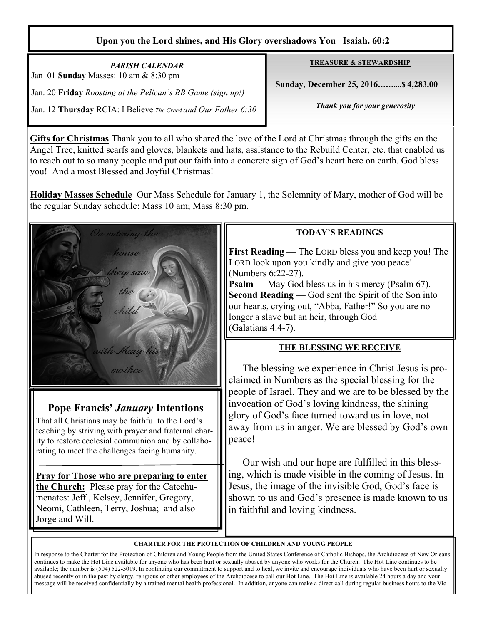### **Upon you the Lord shines, and His Glory overshadows You Isaiah. 60:2**

*PARISH CALENDAR*  Jan 01 **Sunday** Masses: 10 am & 8:30 pm Jan. 20 **Friday** *Roosting at the Pelican's BB Game (sign up!)*  Jan. 12 **Thursday** RCIA: I Believe *The Creed and Our Father 6:30*  **TREASURE & STEWARDSHIP**

 **Sunday, December 25, 2016……....\$ 4,283.00** 

*Thank you for your generosity* 

**Gifts for Christmas** Thank you to all who shared the love of the Lord at Christmas through the gifts on the Angel Tree, knitted scarfs and gloves, blankets and hats, assistance to the Rebuild Center, etc. that enabled us to reach out to so many people and put our faith into a concrete sign of God's heart here on earth. God bless you! And a most Blessed and Joyful Christmas!

**Holiday Masses Schedule** Our Mass Schedule for January 1, the Solemnity of Mary, mother of God will be the regular Sunday schedule: Mass 10 am; Mass 8:30 pm.



# **Pope Francis'** *January* **Intentions**

That all Christians may be faithful to the Lord's teaching by striving with prayer and fraternal charity to restore ecclesial communion and by collaborating to meet the challenges facing humanity.

**Pray for Those who are preparing to enter the Church:** Please pray for the Catechumenates: Jeff , Kelsey, Jennifer, Gregory, Neomi, Cathleen, Terry, Joshua; and also Jorge and Will.

### **TODAY'S READINGS**

**First Reading** — The LORD bless you and keep you! The LORD look upon you kindly and give you peace! (Numbers 6:22-27).

**Psalm** — May God bless us in his mercy (Psalm 67). **Second Reading** — God sent the Spirit of the Son into our hearts, crying out, "Abba, Father!" So you are no longer a slave but an heir, through God (Galatians 4:4-7).

### **THE BLESSING WE RECEIVE**

 The blessing we experience in Christ Jesus is proclaimed in Numbers as the special blessing for the people of Israel. They and we are to be blessed by the invocation of God's loving kindness, the shining glory of God's face turned toward us in love, not away from us in anger. We are blessed by God's own peace!

 Our wish and our hope are fulfilled in this blessing, which is made visible in the coming of Jesus. In Jesus, the image of the invisible God, God's face is shown to us and God's presence is made known to us in faithful and loving kindness.

### **CHARTER FOR THE PROTECTION OF CHILDREN AND YOUNG PEOPLE**

In response to the Charter for the Protection of Children and Young People from the United States Conference of Catholic Bishops, the Archdiocese of New Orleans continues to make the Hot Line available for anyone who has been hurt or sexually abused by anyone who works for the Church. The Hot Line continues to be available; the number is (504) 522-5019. In continuing our commitment to support and to heal, we invite and encourage individuals who have been hurt or sexually abused recently or in the past by clergy, religious or other employees of the Archdiocese to call our Hot Line. The Hot Line is available 24 hours a day and your message will be received confidentially by a trained mental health professional. In addition, anyone can make a direct call during regular business hours to the Vic-